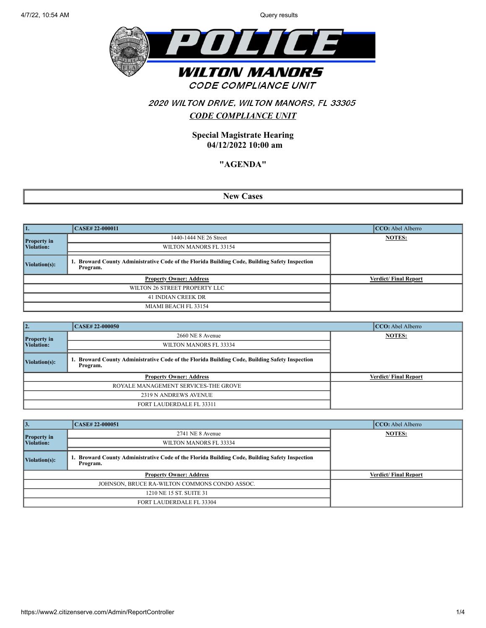

### 2020 WILTON DRIVE, WILTON MANORS, FL 33305

### *CODE COMPLIANCE UNIT*

**Special Magistrate Hearing 04/12/2022 10:00 am**

#### **"AGENDA"**

**New Cases**

| 11.                | CASE# 22-000011                                                                                         | CCO: Abel Alberro           |
|--------------------|---------------------------------------------------------------------------------------------------------|-----------------------------|
| <b>Property in</b> | 1440-1444 NE 26 Street                                                                                  | <b>NOTES:</b>               |
| Violation:         | WILTON MANORS FL 33154                                                                                  |                             |
| Violation(s):      | Broward County Administrative Code of the Florida Building Code, Building Safety Inspection<br>Program. |                             |
|                    | <b>Property Owner: Address</b>                                                                          | <b>Verdict/Final Report</b> |
|                    | WILTON 26 STREET PROPERTY LLC                                                                           |                             |
|                    | 41 INDIAN CREEK DR                                                                                      |                             |
|                    | MIAMI BEACH FL 33154                                                                                    |                             |

| 12.                | <b>CASE#22-000050</b>                                                                                   | CCO: Abel Alberro           |
|--------------------|---------------------------------------------------------------------------------------------------------|-----------------------------|
| <b>Property in</b> | 2660 NE 8 Avenue                                                                                        | <b>NOTES:</b>               |
| Violation:         | WILTON MANORS FL 33334                                                                                  |                             |
| Violation(s):      | Broward County Administrative Code of the Florida Building Code, Building Safety Inspection<br>Program. |                             |
|                    | <b>Property Owner: Address</b>                                                                          | <b>Verdict/Final Report</b> |
|                    | ROYALE MANAGEMENT SERVICES-THE GROVE                                                                    |                             |
|                    | 2319 N ANDREWS AVENUE                                                                                   |                             |
|                    | <b>FORT LAUDERDALE FL 33311</b>                                                                         |                             |

| 13.                              | CASE# 22-000051                                                                                            | CCO: Abel Alberro           |
|----------------------------------|------------------------------------------------------------------------------------------------------------|-----------------------------|
|                                  | 2741 NE 8 Avenue                                                                                           | <b>NOTES:</b>               |
| <b>Property in</b><br>Violation: | WILTON MANORS FL 33334                                                                                     |                             |
| Violation(s):                    | 1. Broward County Administrative Code of the Florida Building Code, Building Safety Inspection<br>Program. |                             |
|                                  | <b>Property Owner: Address</b>                                                                             | <b>Verdict/Final Report</b> |
|                                  | JOHNSON, BRUCE RA-WILTON COMMONS CONDO ASSOC.                                                              |                             |
|                                  | 1210 NE 15 ST. SUITE 31                                                                                    |                             |
|                                  | FORT LAUDERDALE FL 33304                                                                                   |                             |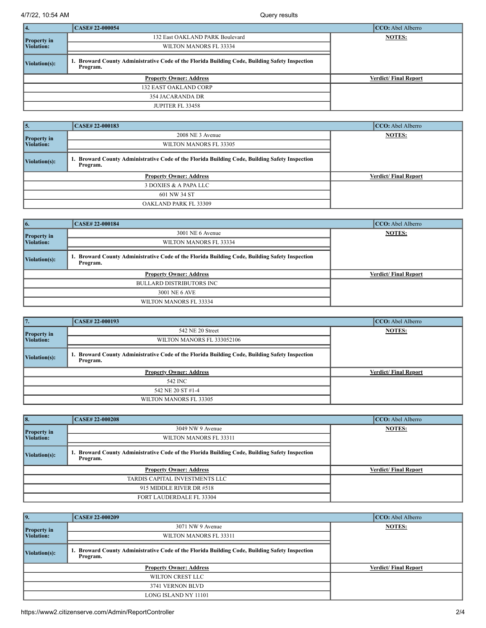4/7/22, 10:54 AM Query results

| 14.                | CASE# 22-000054                                                                                            | $CCO:$ Abel Alberro         |
|--------------------|------------------------------------------------------------------------------------------------------------|-----------------------------|
| <b>Property in</b> | 132 East OAKLAND PARK Boulevard                                                                            | <b>NOTES:</b>               |
| <b>Violation:</b>  | WILTON MANORS FL 33334                                                                                     |                             |
| Violation(s):      | 1. Broward County Administrative Code of the Florida Building Code, Building Safety Inspection<br>Program. |                             |
|                    | <b>Property Owner: Address</b>                                                                             | <b>Verdict/Final Report</b> |
|                    | <b>132 EAST OAKLAND CORP</b>                                                                               |                             |
|                    | 354 JACARANDA DR                                                                                           |                             |
|                    | JUPITER FL 33458                                                                                           |                             |

| 15.                   | <b>CASE# 22-000183</b>                                                                                  | CCO: Abel Alberro           |
|-----------------------|---------------------------------------------------------------------------------------------------------|-----------------------------|
| <b>Property</b> in    | 2008 NE 3 Avenue                                                                                        | <b>NOTES:</b>               |
| Violation:            | WILTON MANORS FL 33305                                                                                  |                             |
| $ $ Violation $(s)$ : | Broward County Administrative Code of the Florida Building Code, Building Safety Inspection<br>Program. |                             |
|                       | <b>Property Owner: Address</b>                                                                          | <b>Verdict/Final Report</b> |
|                       | 3 DOXIES & A PAPA LLC                                                                                   |                             |
|                       | 601 NW 34 ST                                                                                            |                             |
|                       | OAKLAND PARK FL 33309                                                                                   |                             |

| 6.                    | CASE# 22-000184                                                                                         | CCO: Abel Alberro           |
|-----------------------|---------------------------------------------------------------------------------------------------------|-----------------------------|
| <b>Property in</b>    | 3001 NE 6 Avenue                                                                                        | <b>NOTES:</b>               |
| Violation:            | WILTON MANORS FL 33334                                                                                  |                             |
| $\vert$ Violation(s): | Broward County Administrative Code of the Florida Building Code, Building Safety Inspection<br>Program. |                             |
|                       | <b>Property Owner: Address</b>                                                                          | <b>Verdict/Final Report</b> |
|                       | <b>BULLARD DISTRIBUTORS INC</b>                                                                         |                             |
|                       | 3001 NE 6 AVE                                                                                           |                             |
|                       | WILTON MANORS FL 33334                                                                                  |                             |

| $\overline{17}$ .  | CASE# 22-000193                                                                                         | $CCO:$ Abel Alberro         |
|--------------------|---------------------------------------------------------------------------------------------------------|-----------------------------|
| <b>Property in</b> | 542 NE 20 Street                                                                                        | <b>NOTES:</b>               |
| Violation:         | WILTON MANORS FL 333052106                                                                              |                             |
| Violation(s):      | Broward County Administrative Code of the Florida Building Code, Building Safety Inspection<br>Program. |                             |
|                    | <b>Property Owner: Address</b>                                                                          | <b>Verdict/Final Report</b> |
|                    | 542 INC                                                                                                 |                             |
|                    | 542 NE 20 ST #1-4                                                                                       |                             |
|                    | WILTON MANORS FL 33305                                                                                  |                             |

| 8.                 | <b>CASE# 22-000208</b>                                                                                  | CCO: Abel Alberro           |
|--------------------|---------------------------------------------------------------------------------------------------------|-----------------------------|
| <b>Property in</b> | 3049 NW 9 Avenue                                                                                        | <b>NOTES:</b>               |
| Violation:         | WILTON MANORS FL 33311                                                                                  |                             |
| Violation(s):      | Broward County Administrative Code of the Florida Building Code, Building Safety Inspection<br>Program. |                             |
|                    | <b>Property Owner: Address</b>                                                                          | <b>Verdict/Final Report</b> |
|                    | TARDIS CAPITAL INVESTMENTS LLC                                                                          |                             |
|                    | 915 MIDDLE RIVER DR #518                                                                                |                             |
|                    | FORT LAUDERDALE FL 33304                                                                                |                             |

| 9.                 | <b>CASE#22-000209</b>                                                                                      | $CCO:$ Abel Alberro         |
|--------------------|------------------------------------------------------------------------------------------------------------|-----------------------------|
| <b>Property in</b> | 3071 NW 9 Avenue                                                                                           | <b>NOTES:</b>               |
| Violation:         | WILTON MANORS FL 33311                                                                                     |                             |
| Violation(s):      | 1. Broward County Administrative Code of the Florida Building Code, Building Safety Inspection<br>Program. |                             |
|                    | <b>Property Owner: Address</b>                                                                             | <b>Verdict/Final Report</b> |
|                    | WILTON CREST LLC                                                                                           |                             |
|                    | 3741 VERNON BLVD                                                                                           |                             |
|                    | LONG ISLAND NY 11101                                                                                       |                             |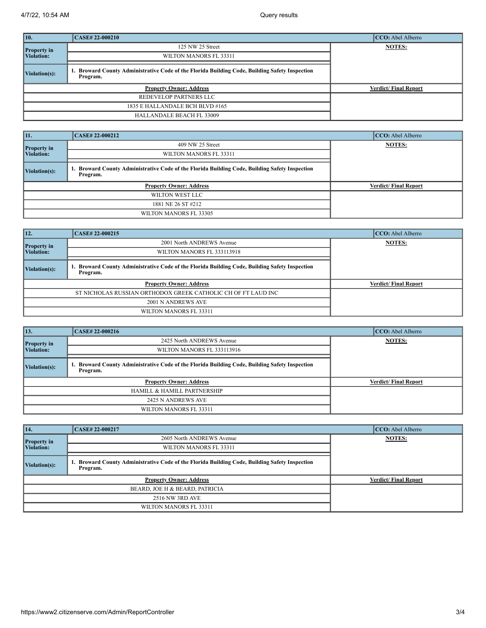| 10.                | <b>CASE# 22-000210</b>                                                                                    | CCO: Abel Alberro           |
|--------------------|-----------------------------------------------------------------------------------------------------------|-----------------------------|
| <b>Property in</b> | 125 NW 25 Street                                                                                          | <b>NOTES:</b>               |
| Violation:         | WILTON MANORS FL 33311                                                                                    |                             |
| Violation(s):      | . Broward County Administrative Code of the Florida Building Code, Building Safety Inspection<br>Program. |                             |
|                    | <b>Property Owner: Address</b>                                                                            | <b>Verdict/Final Report</b> |
|                    | REDEVELOP PARTNERS LLC                                                                                    |                             |
|                    | 1835 E HALLANDALE BCH BLVD #165                                                                           |                             |
|                    | <b>HALLANDALE BEACH FL 33009</b>                                                                          |                             |

| 11.                | CASE# 22-000212                                                                                         | CCO: Abel Alberro           |
|--------------------|---------------------------------------------------------------------------------------------------------|-----------------------------|
| <b>Property</b> in | 409 NW 25 Street                                                                                        | <b>NOTES:</b>               |
| Violation:         | WILTON MANORS FL 33311                                                                                  |                             |
| Violation(s):      | Broward County Administrative Code of the Florida Building Code, Building Safety Inspection<br>Program. |                             |
|                    | <b>Property Owner: Address</b>                                                                          | <b>Verdict/Final Report</b> |
|                    | WILTON WEST LLC                                                                                         |                             |
|                    | 1881 NE 26 ST #212                                                                                      |                             |
|                    | WILTON MANORS FL 33305                                                                                  |                             |

| 12.                | CASE# 22-000215                                                                                         | CCO: Abel Alberro           |
|--------------------|---------------------------------------------------------------------------------------------------------|-----------------------------|
| <b>Property in</b> | 2001 North ANDREWS Avenue                                                                               | <b>NOTES:</b>               |
| Violation:         | WILTON MANORS FL 333113918                                                                              |                             |
| Violation(s):      | Broward County Administrative Code of the Florida Building Code, Building Safety Inspection<br>Program. |                             |
|                    | <b>Property Owner: Address</b>                                                                          | <b>Verdict/Final Report</b> |
|                    | ST NICHOLAS RUSSIAN ORTHODOX GREEK CATHOLIC CH OF FT LAUD INC                                           |                             |
|                    | 2001 N ANDREWS AVE                                                                                      |                             |
|                    | WILTON MANORS FL 33311                                                                                  |                             |

| $\vert$ 13.                      | CASE# 22-000216                                                                                         | CCO: Abel Alberro           |
|----------------------------------|---------------------------------------------------------------------------------------------------------|-----------------------------|
| <b>Property in</b><br>Violation: | 2425 North ANDREWS Avenue                                                                               | <b>NOTES:</b>               |
|                                  | WILTON MANORS FL 333113916                                                                              |                             |
| $\vert$ Violation(s):            | Broward County Administrative Code of the Florida Building Code, Building Safety Inspection<br>Program. |                             |
|                                  | <b>Property Owner: Address</b>                                                                          | <b>Verdict/Final Report</b> |
|                                  | <b>HAMILL &amp; HAMILL PARTNERSHIP</b>                                                                  |                             |
|                                  | 2425 N ANDREWS AVE                                                                                      |                             |
|                                  | WILTON MANORS FL 33311                                                                                  |                             |

| $\vert$ 14.                      | CASE# 22-000217                                                                                         | CCO: Abel Alberro           |
|----------------------------------|---------------------------------------------------------------------------------------------------------|-----------------------------|
| <b>Property in</b><br>Violation: | 2605 North ANDREWS Avenue                                                                               | <b>NOTES:</b>               |
|                                  | WILTON MANORS FL 33311                                                                                  |                             |
| $\vert$ Violation(s):            | Broward County Administrative Code of the Florida Building Code, Building Safety Inspection<br>Program. |                             |
|                                  | <b>Property Owner: Address</b>                                                                          | <b>Verdict/Final Report</b> |
|                                  | BEARD, JOE H & BEARD, PATRICIA                                                                          |                             |
|                                  | 2516 NW 3RD AVE                                                                                         |                             |
|                                  | WILTON MANORS FL 33311                                                                                  |                             |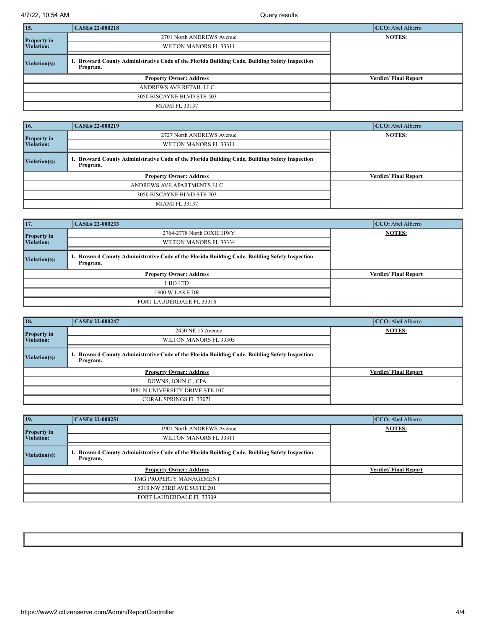4/7/22, 10:54 AM Query results

| $\vert$ 15.        | <b>CASE#22-000218</b>                                                                                   | $CCO:$ Abel Alberro         |
|--------------------|---------------------------------------------------------------------------------------------------------|-----------------------------|
| <b>Property in</b> | 2701 North ANDREWS Avenue                                                                               | <b>NOTES:</b>               |
| <b>Violation:</b>  | WILTON MANORS FL 33311                                                                                  |                             |
| Violation(s):      | Broward County Administrative Code of the Florida Building Code, Building Safety Inspection<br>Program. |                             |
|                    | <b>Property Owner: Address</b>                                                                          | <b>Verdict/Final Report</b> |
|                    | ANDREWS AVE RETAIL LLC                                                                                  |                             |
|                    | 3050 BISCAYNE BLVD STE 503                                                                              |                             |
|                    | <b>MIAMI FL 33137</b>                                                                                   |                             |

| 16.                        | CASE# 22-000219                                                                                         | CCO: Abel Alberro           |
|----------------------------|---------------------------------------------------------------------------------------------------------|-----------------------------|
| <b>Property in</b>         | 2727 North ANDREWS Avenue                                                                               | <b>NOTES:</b>               |
| Violation:                 | WILTON MANORS FL 33311                                                                                  |                             |
| $\vert$ Violation(s):      | Broward County Administrative Code of the Florida Building Code, Building Safety Inspection<br>Program. |                             |
|                            | <b>Property Owner: Address</b>                                                                          | <b>Verdict/Final Report</b> |
| ANDREWS AVE APARTMENTS LLC |                                                                                                         |                             |
| 3050 BISCAYNE BLVD STE 503 |                                                                                                         |                             |
|                            | <b>MIAMI FL 33137</b>                                                                                   |                             |

| 17.                              | CASE# 22-000233                                                                                         | CCO: Abel Alberro           |
|----------------------------------|---------------------------------------------------------------------------------------------------------|-----------------------------|
| <b>Property in</b><br>Violation: | 2764-2778 North DIXIE HWY                                                                               | <b>NOTES:</b>               |
|                                  | WILTON MANORS FL 33334                                                                                  |                             |
| Violation(s):                    | Broward County Administrative Code of the Florida Building Code, Building Safety Inspection<br>Program. |                             |
|                                  | <b>Property Owner: Address</b>                                                                          | <b>Verdict/Final Report</b> |
|                                  | LUO LTD                                                                                                 |                             |
|                                  | <b>1600 W LAKE DR</b>                                                                                   |                             |
|                                  | FORT LAUDERDALE FL 33316                                                                                |                             |

| 18.                              | CASE# 22-000247                                                                                         | CCO: Abel Alberro           |
|----------------------------------|---------------------------------------------------------------------------------------------------------|-----------------------------|
| <b>Property in</b><br>Violation: | 2450 NE 15 Avenue                                                                                       | <b>NOTES:</b>               |
|                                  | WILTON MANORS FL 33305                                                                                  |                             |
| Violation(s):                    | Broward County Administrative Code of the Florida Building Code, Building Safety Inspection<br>Program. |                             |
|                                  | <b>Property Owner: Address</b>                                                                          | <b>Verdict/Final Report</b> |
|                                  | DOWNS, JOHN C., CPA                                                                                     |                             |
|                                  | 1881 N UNIVERSITY DRIVE STE 107                                                                         |                             |
|                                  | <b>CORAL SPRINGS FL 33071</b>                                                                           |                             |

| 19.                | CASE# 22-000251                                                                                         | $CCO:$ Abel Alberro         |
|--------------------|---------------------------------------------------------------------------------------------------------|-----------------------------|
| <b>Property in</b> | 1901 North ANDREWS Avenue                                                                               | <b>NOTES:</b>               |
| Violation:         | WILTON MANORS FL 33311                                                                                  |                             |
| Violation(s):      | Broward County Administrative Code of the Florida Building Code, Building Safety Inspection<br>Program. |                             |
|                    | <b>Property Owner: Address</b>                                                                          | <b>Verdict/Final Report</b> |
|                    | TMG PROPERTY MANAGEMENT                                                                                 |                             |
|                    | 5310 NW 33RD AVE SUITE 201                                                                              |                             |
|                    | FORT LAUDERDALE FL 33309                                                                                |                             |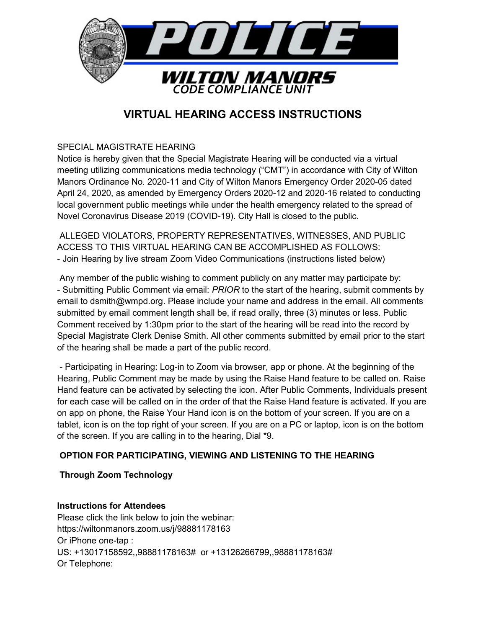

# **VIRTUAL HEARING ACCESS INSTRUCTIONS**

SPECIAL MAGISTRATE HEARING

Notice is hereby given that the Special Magistrate Hearing will be conducted via a virtual meeting utilizing communications media technology ("CMT") in accordance with City of Wilton Manors Ordinance No. 2020-11 and City of Wilton Manors Emergency Order 2020-05 dated April 24, 2020, as amended by Emergency Orders 2020-12 and 2020-16 related to conducting local government public meetings while under the health emergency related to the spread of Novel Coronavirus Disease 2019 (COVID-19). City Hall is closed to the public.

ALLEGED VIOLATORS, PROPERTY REPRESENTATIVES, WITNESSES, AND PUBLIC ACCESS TO THIS VIRTUAL HEARING CAN BE ACCOMPLISHED AS FOLLOWS: - Join Hearing by live stream Zoom Video Communications (instructions listed below)

Any member of the public wishing to comment publicly on any matter may participate by: - Submitting Public Comment via email: PRIOR to the start of the hearing, submit comments by email to dsmith@wmpd.org. Please include your name and address in the email. All comments submitted by email comment length shall be, if read orally, three (3) minutes or less. Public Comment received by 1:30pm prior to the start of the hearing will be read into the record by Special Magistrate Clerk Denise Smith. All other comments submitted by email prior to the start of the hearing shall be made a part of the public record.

- Participating in Hearing: Log-in to Zoom via browser, app or phone. At the beginning of the Hearing, Public Comment may be made by using the Raise Hand feature to be called on. Raise Hand feature can be activated by selecting the icon. After Public Comments, Individuals present for each case will be called on in the order of that the Raise Hand feature is activated. If you are on app on phone, the Raise Your Hand icon is on the bottom of your screen. If you are on a tablet, icon is on the top right of your screen. If you are on a PC or laptop, icon is on the bottom of the screen. If you are calling in to the hearing, Dial \*9.

# OPTION FOR PARTICIPATING, VIEWING AND LISTENING TO THE HEARING

# Through Zoom Technology

### Instructions for Attendees

Please click the link below to join the webinar: https://wiltonmanors.zoom.us/j/98881178163 Or iPhone one-tap: US: +13017158592,,98881178163# or +13126266799,,98881178163# Or Telephone: